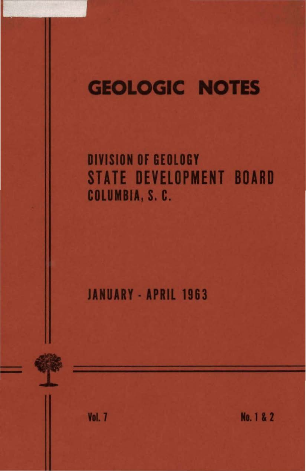# **GEOLOGIC NOTES**

**DIVISION OF GEOLOGY STATE DEVELOPMENT BOARD** COLUMBIA, S. C.

**JANUARY - APRIL 1963** 

Vol. 7

No. 1 & 2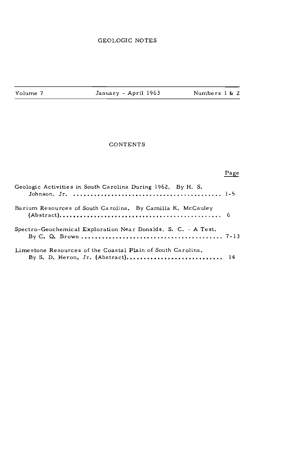Volume 7 January - April 1963 Numbers l & 2

#### **CONTENTS**

### $Page$

| Geologic Activities in South Carolina During 1962. By H. S.   |  |
|---------------------------------------------------------------|--|
| Barium Resources of South Carolina. By Camilla K. McCauley    |  |
| Spectro-Geochemical Exploration Near Donalds, S. C. - A Test. |  |
| Limestone Resources of the Coastal Plain of South Carolina.   |  |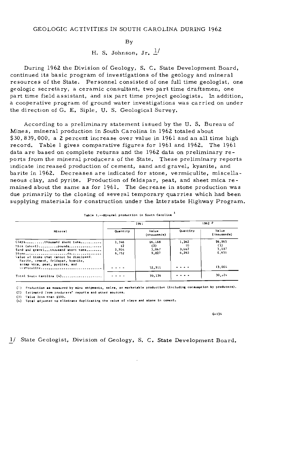H. S. Johnson, Jr. *]\_/* 

During 1962 the Division of Geology, S. C. State Development Board, continued its basic program of investigations of the geology and mineral resources of the State. Personnel consisted of one full time geologist, one **geologic secretary, a ceramic consultant, two part time draftsmen, one**  part time field assistant, and six part time project geologists. In addition, **a cooperative program of ground water investigations was carried on under**  the direction of G. E. Siple, U. S. Geological Survey.

According to a preliminary statement issued by the U. S. Bureau of Mines, mineral production in South Carolina in 1962 totaled about \$30,839,000, a 2 percent increase over value in 1961 and an all time high record. Table l gives comparative figures for 1961 and 1962. The 1961 data are based on complete returns and the 1962 data on preliminary reports from the mineral producers of the State, These preliminary reports **indicate inc rea sed production of cement, sand and gravel, kyanite, and**  barite in 1962. Decreases are indicated for stone, vermiculite, miscellaneous clay, and pyrite. Production of feldspar, peat, and sheet mica remained about the same as for 1961. The decrease in stone production was due primarily to the closing of several temporary quarries which had been supplying materials for construction under the Interstate Highway Program.

| Mineral                                                                                                                                                                                   | 1961            |                      | $1962$ $2$     |                                |
|-------------------------------------------------------------------------------------------------------------------------------------------------------------------------------------------|-----------------|----------------------|----------------|--------------------------------|
|                                                                                                                                                                                           | Quantity        | Velue<br>(thousands) | Quantity       | Value<br>$(\cdot \text{houd})$ |
| Claysthousand short tons                                                                                                                                                                  | 1,346           | S6.168               | 1,362          | \$6.965                        |
| Mics (sheet)pounds                                                                                                                                                                        | $\overline{12}$ | (3)                  | 10             | (3)<br>3.137                   |
| Sand and gravelthousand short tons                                                                                                                                                        | 2,904           | 3,067                | 3.057<br>6,263 | 6.650                          |
| $Stone \dots \dots \dots \dots \dots \dots \dots \dots \dots \dots \dots \dots \dots \dots \dots \dots$<br>Value of items that cannot be disclosed:<br>Barite, cement, feldspar, kvanite, | 6.752           | 9.827                |                |                                |
| scrap mica, peat, pyrites, and<br>$\mathbf{v}$ . This will be a second contract of the second contract $\mathbf{v}$                                                                       |                 | 12,311               |                | 13.004                         |
| Total South Carolina (4)                                                                                                                                                                  |                 | 30,136               |                | 30,335                         |

(:) Production as measured by mine whipments, sales, or marketable production (including consumption by producers), (2) Estimated from producers<sup>1</sup> reports and other aources.

{)) **\'allle leu. than \$SOU,** 

(5) Taille ferm than 95001<br>(4) Total adjusted to eliminate duplicating the value of clays and stone in cement.

**G-1)4** 

*]\_/* State Geologist, Division of Geology, S. C. State Development Board.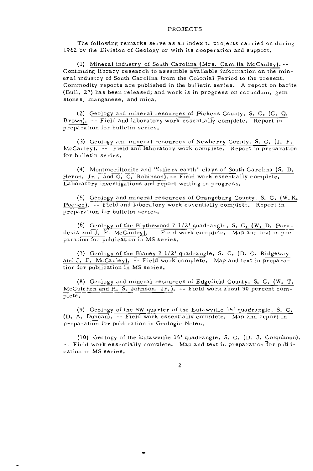#### PROJECTS

The following remarks serve as an index to projects carried on during 1962 by the Division of Geology or with its cooperation and support,

(1) Mineral industry of South Carolina (Mrs, Camilla McCauley).-- Continuing library research to assemble available information on the mineral industry of South Carolina from the Colonial Period to the present, Commodity reports are published in the bulletin series, A report on barite (Bull, 27) has been released; and work is in progress on corundum, gem **stones, manganese, and mica.** 

(2) Geology and mineral resources of Pickens County, S, C. (C. Q, Brown). -- Field and laboratory work essentially complete. Report in preparation for bulletin series,

(3) Geology and mineral resources of Newberry County, S, C. (J. F. McCauley). -- Field and laboratory work complete. Report in preparation for bulletin series,

(4) Montmorillonite and "fullers earth" clays of South Carolina (S, D. Heron, Jr., and G. C. Robinson). -- Field work essentially complete. Laboratory investigations and report writing in progress,

(5) Geology and mineral resources of Orangeburg County, S, C. (W, K. Pooser). -- Field and laboratory work essentially complete. Report in preparation for bulletin series,

(6) Geology of the Blythewood  $7 \frac{1}{2}$  quadrangle, S. C. (W. D. Paradesis and J. F. McCauley). --Field work complete. Map and text in preparation for publication in MS series.

(7) Geology of the Blaney  $7 \frac{1}{2}$  quadrangle, S. C. (D. C. Ridgeway and J. F. McCauley). -- Field work complete. Map and text in preparation for publication in MS series,

(8) Geology and mineral resources of Edgefield County, S, C, (W, T. McCutchen and H. S, Johnson, Jr.), -- Field work about 90 percent complete.

(9) Geology of the SW quarter of the Eutawville 15' quadrangle, S. C. (D. A. Duncan), --Field work essentially complete, Map and report in preparation for publication in Geologic Notes,

(10) Geology of the Eutawville 15' quadrangle, S. C. (D. J. Colquhoun). Field work essentially complete, Map and text in preparation for pull i**cation in MS series.**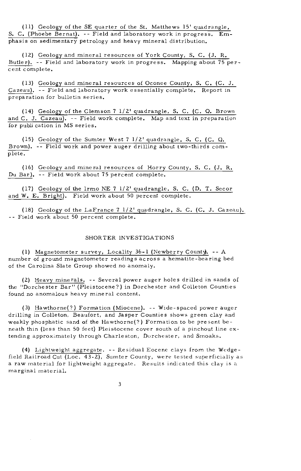(11) Geology of the SE quarter of the St. Matthews 15' quadrangle, S, C. (Phoebe Bernat). --Field and laboratory work in progress. Emphasis on sedimentary petrology and heavy mineral distribution,

( 12) Geology and mineral resources of York County, S. C. (J. R. Butler). --Field and laboratory work in progress. Mapping about 75 percent complete.

(13) Geology and mineral resources of Oconee County, S. C. (C. J. Cazeau). --Field and laboratory work essentially complete. Report in preparation for bulletin series.

(14) Geology of the Clemson 7 l/2' quadrangle, S. C. (C. 0. Brown and C. J.  $\overline{Cazeau}$ .  $\overline{-}$  Field work complete. Map and text in preparation for publication in MS series.

(15) Geology of the Sumter West 7 l/2' quadrangle, S. C. (C. 0. Brown). -- Field work and power auger drilling about two-thirds complete.

(16) Geology and mineral resources of Horry County, S. C. (J. R. Du Bar). -- Field work about 75 percent complete,

(17) Geology of the lrmo NE 7 l/2' quadrangle, S. C. (D. T. Secor and W. E. Bright). Field work about 50 percent complete.

(18) Geology of the LaFrance 7 l/2' quadrangle, S. C. (C. J. Cazeau). -- Field work about 50 percent complete.

#### SHORTER INVESTIGATIONS

(1) Magnetometer survey, Locality 36-1 (Newberry County). -- A number of ground magnetometer readings across a hematite-bearing bed of the Carolina Slate Group showed no anomaly.

(2) Heavy minerals, -- Several power auger holes drilled in sands of the "Dorchester Bar" (Pleistocene?) in Dorchester and Colleton Counties **found no anomalous heavy mineral content.** 

(3) Hawthorne(?) Formation (Miocene), --Wide-spaced power auger drilling in Colleton, Beaufort, and Jasper Counties shows green clay and weakly phosphatic sand of the Hawthorne(?) Formation to be present beneath thin (less than 50 feet) Pleistocene cover south of a pinchout line *ex*tending approximately through Charleston, Dorchester, and Smoaks.

(4) Lightweight aggregate. --Residual Eocene clays from the Wedgefield Railroad Cut (Loc. 43-2), Sumter County, were tested superficially as a raw material for lightweight aggregate. Results indicated this clay is a **marginal mate rial.**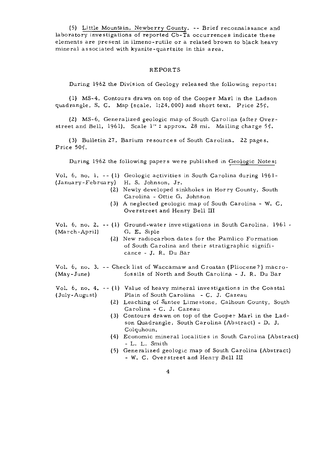(5) Little Mountain, Newberry County. -- Brief reconnaissance and laboratory investigations of reported Cb-Ta occurrences indicate these elements are present in ilmeno-rutile or a related brown to black heavy mineral associated with kyanite-quartzite in this area.

#### REPORTS

During 1962 the Division of Geology released the following reports:

( l) MS-4, Contours drawn on top of the Cooper Marl in the Ladson quadrangle, S. C. Map (scale, 1:24,000) and short text. Price  $25¢$ .

(2) MS-6, Generalized geologic map of South Carolina (after Overstreet and Bell, 1961). Scale 1": approx. 28 mi. Mailing charge 5 $\circ$ .

(3) Bulletin 27, Barium resources of South Carolina. 22 pages. Price  $50<sub>c</sub>$ .

During 1962 the following papers were published in Geologic Notes:

Vol. 6, no. l. -- (l) Geologic activities in South Carolina during 1961- (January-February) H. S. Johnson, Jr.

- (2) Newly developed sinkholes in Horry County, South Carolina - Ottie G. Johnson
- ( 3) A neglected geologic map of South Carolina W. C. Overstreet and Henry Bell III

Vol. 6, no. 2. -- (1) Ground-water investigations in South Carolina, 1961 . (March-April) G. E. Siple

(2) New radiocarbon dates for the Pamlico Formation of South Carolina and their stratigraphic significance - J. R, Du Bar

Vol. 6, no. 3. -- Check list of Waccamaw and *Croatan (Pliocene?)* macro-<br>(May-June) fossils of North and South Carolina - J. R. Du Bar fossils of North and South Carolina - J. R. Du Bar

Vol. 6, no, 4, -- (l) Value of heavy mineral investigations in the Coastal (July-August) Plain of South Carolina - C. J. Cazeau

- (2) Leaching of Santee Limestone, Calhoun County, South Carolina - C. J. Cazeau
- (3) Contours drawn on top of the Cooper Marl in the Ladson Quadrangle, South Carolina (Abstract) - D. J. Colquhoun.
- (4) Economic mineral localities in South Carolina (Abstract) - L. L. Smith
- ( 5) Generalized geologic map of South Carolina (Abstract) - W. C. Overstreet and Henry Bell III
	- 4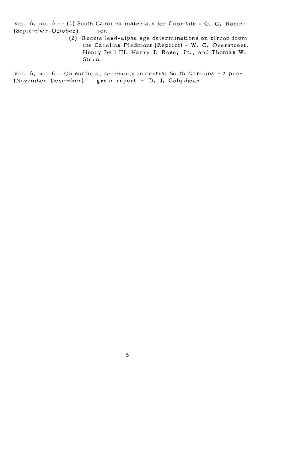Vol. 6, no. 5 -- (1) South Carolina materials for floor tile - G. C. Robin-<br>(September-October) son (September-October)

> (2) Recent lead-alpha age determinations on zircon from the Carolina Piedmont (Reprint) - W. C. Overstreet, Henry Bell III, Harry J. Rose, Jr., and Thomas W. Stern.

Vol. 6, no. 6 --On surficial sediments in central South Carolina -a pro- (November-December) gress report - D. J. Colquhoun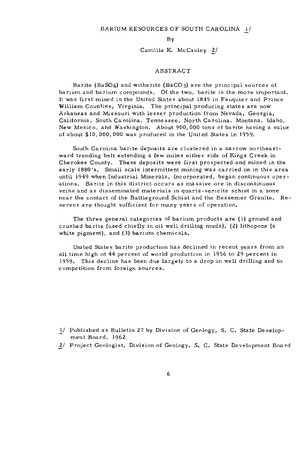Camilla K. McCauley 2/

#### ABSTRACT

Barite {BaS04) and witherite (BaC03) are the principal sources of barium and barium compounds. Of the two, barite is the more important. It was first mined in the United States about 1845 in Fauquier and Prince William Counties, Virginia. The principal producing states are now Arkansas and Missouri with lesser production from Nevada, Georgia, California, South Carolina, Tennessee, North Carolina, Montana, Idaho, New Mexico, and Washington. About 900,000 tons of barite having a value of about \$10,000,000 was produced in the United States in 1959.

South Carolina barite deposits are clustered in a narrow northeastward trending belt extending a few miles either side of Kings Creek in Cherokee County. These deposits were first prospected and mined in the early 1880's. Small scale intermittent mining was carried on in this area until 1949 when Industrial Minerals, Incorporated, began continuous operations. Barite in this district occurs as massive ore in discontinuous veins and as disseminated materials in quartz-sericite schist in a zone near the contact of the Battleground Schist and the Bessemer Granite. Reserves are thought sufficient for many years of operation,

The three general categories of barium products are {1) ground and crushed barite (used chiefly in oil well drilling muds), (2) lithopone (a white pigment), and (3) barium chemicals,

United States barite production has declined in recent years from an all time high of  $44$  percent of world production in 1956 to  $29$  percent in 1959. This decline has been due largely to a drop in well drilling and to **competition from foreign sources.** 

- 1/ Published as Bulletin 27 by Division of Geology, S. C. State Development Board, 1962.
- 2./ Project Geologist, Division of Geology, S, C. State Development Board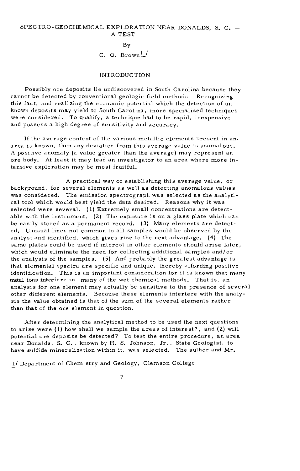C. Q. Brown $\frac{1}{2}$ 

#### INTRODUCTION

Possibly ore deposits lie undiscovered in South Carolina because they cannot be detected by conventional geologic field methods. Recognizing this fact, and realizing the economic potential which the detection of unknown deposits may yield to South Carolina, more specialized techniques were considered. To qualify, a technique had to be rapid, inexpensive and possess a high degree of sensitivity and accuracy.

If the average content of the various metallic elements present in an. **area is known, then any deviation from this average value is anomalous.**  A positive anomaly (a value greater than the average) may represent an ore body. At least it may lead an investigator to an area where more intensive exploration may be most fruitful.

A practical way of establishing this average value, or background, for several elements as well as detecting anomalous values was considered. The emission spectrograph was selected as the analytical tool which would best yield the data desired. Reasons why it was selected were several. (1) Extremely small concentrations are detectable with the instrument, (2) The exposure is on a glass plate which can be easily stored as a permanent record. (3) Many elements are detected, Unusual lines not common to all samples would be observed by the analyst and identified, which gives rise to the next advantage. (4) The same plates could be used if interest in other elements should arise later, which would eliminate the need for collecting additional samples and/or the analysis of the samples. (5) And probably the greatest advantage is that elemental spectra are specific and unique, thereby affording positive identification. This is an important consideration for it is known that many metal ions interfere in many of the wet chemical methods. That is, an analysis for one element may actually be sensitive to the presence of several other different elements. Because these elements interfere with the analysis the value obtained is that of the sum of the several elements rather than that of the one element in question.

After determining the analytical method to be used the next questions to arise were (l) how shall we sample the areas of interest?, and (2) will potential ore deposits be detected? To test the entire procedure, an area near Donalds, S. C., known by H. S. Johnson, Jr., State Geologist, to have sulfide mineralization within it, was selected. The author and Mr.

1/ Department of Chemistry and Geology, Clemson College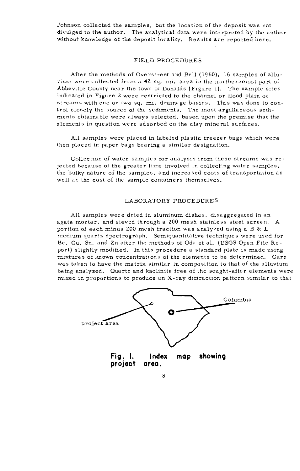Johnson collected the samples, but the location of the deposit was not divulged to the author. The analytical data were interpreted by the author without knowledge of the deposit locality. Results are reported here.

#### FIELD PROCEDURES

After the methods of Overstreet and Bell (1960), 16 samples of alluvium were collected from a 42 sq. mi. area in the northernmost part of Abbeville County near the town of Donalds (Figure 1). The sample sites indicated in Figure 2 were restricted to the channel or flood plain of streams with one or two sq. mi. drainage basins. This was done to control closely the source of the sediments. The most argillaceous sediments obtainable were always selected, based upon the premise that the elements in question were adsorbed on the clay mineral surfaces.

All samples were placed in labeled plastic freezer bags which were then placed in paper bags bearing a similar designation.

Collection of water samples for analysis from these streams was rejected because of the greater time involved in collecting water samples, the bulky nature of the samples, and increased costs of transportation as well as the cost of the sample containers themselves.

#### LABORATORY PROCEDURES

All samples were dried in aluminum dishes, disaggregated in an agate mortar, and sieved through a 200 mesh stainless steel screen, A portion of each minus 200 mesh fraction was analyzed using a B & L medium quartz spectrograph. Semiquantitative techniques were used for Be, Cu, Sn, and Zn after the methods of Oda et al. (USGS Open File Report) slightly modified, In this procedure a standard plate is made using mixtures of known concentrations of the elements to be determined. Care was taken to have the matrix similar in composition to that of the alluvium being analyzed. Quartz and kaolinite free of the sought-after elements were mixed in proportions to produce an X-ray diffraction pattern similar to that

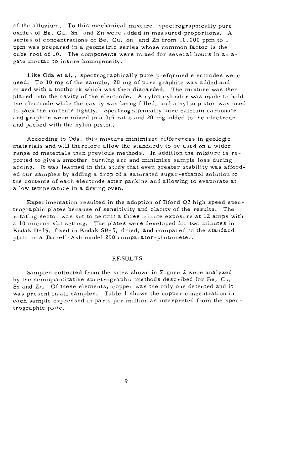of the alluvium, To this mechanical mixture, spectrographically pure oxides of Be, Cu, Sn and Zn were added in measured proportions, A series of concentrations of Be, Cu, Sn and Zn from 10,000 ppm to l **ppm was prepared in a geometric series whose common factor is the**  cube root of 10, The components were mixed for several hours in an agate mortar to insure homogeneity.

Like Oda et al,, spectrographically pure preformed electrodes were used. To 10 mg of the sample, 20 mg of pure graphite was added and mixed with a toothpick which was then discarded, The mixture was then placed into the cavity of the electrode. A nylon cylinder was made to hold the electrode while the cavity was being filled, and a nylon piston was used to pack the contents tightly. Spectrographically pure calcium carbonate and graphite were mixed in a 1:5 ratio and 20 mg added to the electrode and packed with the nylon piston,

According to Oda, this mixture minimized differences in geologic materials and will therefore allow the standards to be used on a wider range of materials than previous methods. In addition the mixture is reported to give a smoother burning arc and minimize sample loss during arcing. It was learned in this study that even greater stability was afforded our samples by adding a drop of a saturated sugar-ethanol solution to the contents of each electrode after packing and allowing to evaporate at a low temperature in a drying oven,

Experimentation resulted in the adoption of Ilford Q3 high speed spectrographic plates because of sensitivity and clarity of the results, The rotating sector was set to permit a three minute exposure at 12 amps with a 10 micron slit setting. The plates were developed for two minutes in Kodak D-19, fixed in Kodak SB-5, dried, and compared to the standard plate on a Jarrell-Ash model ZOO comparator-photometer.

#### RESULTS

Samples collected from the sites shown in Figure 2 were analyzed by the semiquantitative spectrographic methods described for Be, Cu, Sn and Zn. Of these elements, copper was the only one detected and it was present in all samples, Table l shows the copper concentration in each sample expressed in parts per million as interpreted from the spectrographic plate.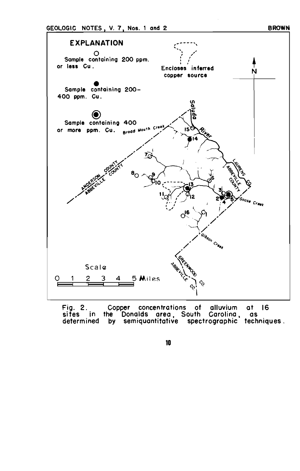## EXPLANATION ,~---- .. ,  $\mathcal{C}_\text{c}$ 0 Sample containinQ 200 ppm. or less Cu. Encloses inferred  $\dot{N}$ copper source Sample containing 200-400 ppm. Cu. @ Sample containing 400 or more ppm. Cu. Broad Mouth Creek Ið Goose Creek  $O^{16}_{6}$ Gibson Creek Scale 5 Miles 2 3

Fig. 2. sites in determined Copper concentrations of alluvium at 16 the Donalds area , South Carolina , as by semiquantitative spectrographic techniques .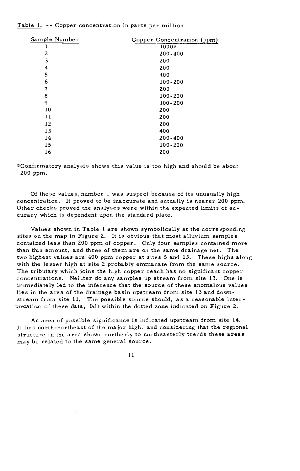#### Table l. -- Copper concentration in parts per million

| Copper Concentration (ppm) |
|----------------------------|
| 1000*                      |
| $200 - 400$                |
| 200                        |
| 200                        |
| 400                        |
| $100 - 200$                |
| 200                        |
| $100 - 200$                |
| $100 - 200$                |
| 200                        |
| 200                        |
| 200                        |
| 400                        |
| $200 - 400$                |
| $100 - 200$                |
| 200                        |
|                            |

\*Confirmatory analysis shows this value is too high and should be about 200 ppm.

Of these values, number  $l$  was suspect because of its unusually high concentration. It proved to be inaccurate and actually is nearer 200 ppm. Other checks proved the analyses were within the expected limits of accuracy which is dependent upon the standard plate.

Values shown in Table l are shown symbolically at the corresponding sites on the map in Figure 2. It is obvious that most alluvium samples contained less than 200 ppm of copper. Only four samples contained more than this amount, and three of them are on the same drainage net. The two highest values are 400 ppm copper at sites 5 and 13. These highs along with the lesser high at site 2 probably emmanate from the same source. The tributary which joins the high copper reach has no significant copper concentrations, Neither do any samples up stream from site 13. One is immediately led to the inference that the source of these anomalous values lies in the area of the drainage basin upstream from site 13 and downstream from site 11, The possible source should, as a reasonable interpretation of these data, fall within the dotted zone indicated on Figure 2.

An area of possible significance is indicated upstream from site 14, It lies north-northeast of the major high, and considering that the regional structure in the area shows northerly to northeasterly trends these areas may be related to the same general source.

ll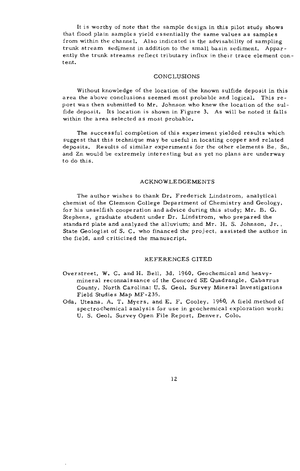It is worthy of note that the sample design in this pilot study shows that flood plain samples yield essentially the same values as samples from within the channel. Also indicated is the advisability of sampling trunk stream sediment in addition to the small basin sediment. Apparently the trunk streams reflect tributary influx in their trace element content.

#### **CONCLUSIONS**

Without knowledge of the location of the known sulfide deposit in this area the above conclusions seemed most probable and logical, This re port was then submitted to Mr. Johnson who knew the location of the sulfide deposit, Its location is shown in Figure 3. As will be noted it falls within the area selected as most probable,

The successful completion of this experiment yielded results which suggest that this technique may be useful in locating copper and related deposits, Results of similar experiments for the other elements Be, Sn, and Zn would be extremely interesting but as yet no plans are underway *to* do this.

#### ACKNOWLEDGEMENTS

The author wishes to thank Dr. Frederick Lindstrom, analytical chemist of the Clemson College Department of Chemistry and Geology. for his unselfish cooperation and advice during this study; Mr. B. G. Stephens, graduate student under Dr, Lindstrom, who prepared the standard plate and analyzed the alluvium; and Mr. H. S. Johnson, Jr., State Geologist of S. C. who financed the project, assisted the author in the field, and criticized the manuscript.

#### REFERENCES CITED

- Overstreet, W. C. and H. Bell, 3d, 1960, Geochemical and heavymineral reconnaissance of the Concord SE Quadrangle, Cabarrus County, North Carolina: U.S. Geol. Survey Mineral Investigations Field Studies Map MF-235.
- Oda, Uteana, A, T. Myers, and E. F. Cooley, 1960, A field method of spectrochemical analysis for use in geochemical exploration work: U. S. Geol. Survey Open File Report, Denver, Colo.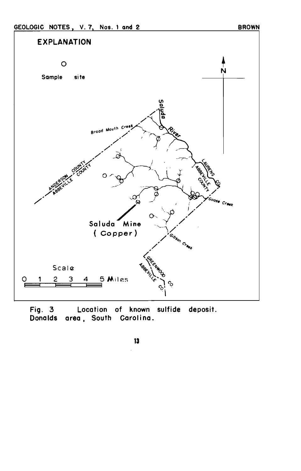

Fig.  $3$ Location of known sulfide deposit. Donalds area, South Carolina.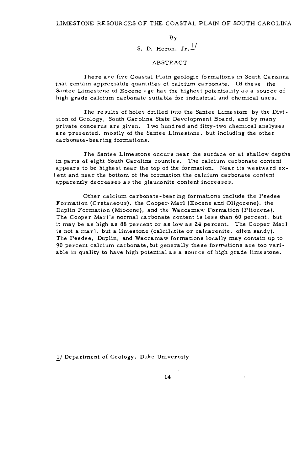S. D. Heron,  $Jr.\frac{1}{2}$ 

#### ABSTRACT

There are five Coastal Plain geologic formations in South Carolina that contain appreciable quantities of calcium carbonate. Of these, the Santee Limestone of Eocene age has the highest potentiality as a source of high grade calcium carbonate suitable for industrial and chemical uses.

The results of holes drilled into the Santee Limestore by the Division of Geology, South Carolina State Development Board, and by many private concerns are given. Two hundred and fifty-two chemical analyses are presented, mostly of the Santee Limestone, but including the other carbonate-bearing formations.

The Santee Lime stone occurs near the surface or at shallow depths in parts of eight South Carolina counties. The calcium carbonate content appears to be highest near the top of the formation. Near its westward extent and near the bottom of the formation the calcium carbonate content apparently decreases as the glauconite content increases.

Other calcium carbonate-bearing formations include the Peedee Formation (Cretaceous), the Cooper· Marl (Eocene and Oligocene). the Duplin Formation (Miocene), and the Waccamaw Formation (Pliocene). The Cooper Marl's normal carbonate content is less than 60 percent, but it may be as high as 88 percent or as low as 24 percent. The Cooper Marl is not a marl, but a limestone (calcilutite or calcarenite, often sandy). The Peedee, Duplin, and Waccamaw formations locally may contain up to 90 percent calcium carbonate, but generally these formations are too variable in quality to have high potential as a source of high grade lime stone.

1/ Department of Geology, Duke University